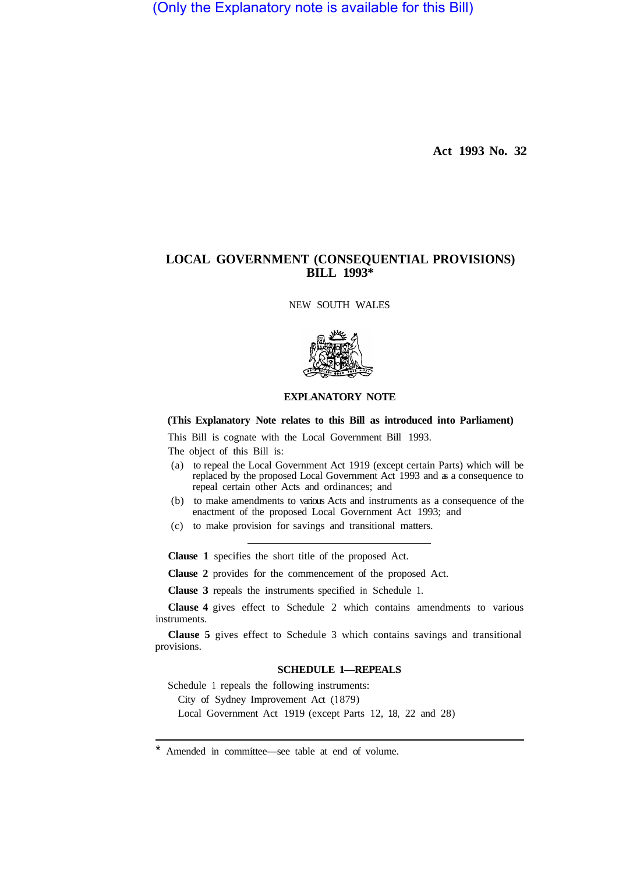(Only the Explanatory note is available for this Bill)

**Act 1993 No. 32** 

# **LOCAL GOVERNMENT (CONSEQUENTIAL PROVISIONS) BILL 1993\***

NEW SOUTH WALES



## **EXPLANATORY NOTE**

#### **(This Explanatory Note relates to this Bill as introduced into Parliament)**

This Bill is cognate with the Local Government Bill 1993. The object of this Bill is:

- (a) to repeal the Local Government Act 1919 (except certain Parts) which will be replaced by the proposed Local Government Act 1993 and as a consequence to repeal certain other Acts and ordinances; and
- (b) to make amendments to various Acts and instruments as a consequence of the enactment of the proposed Local Government Act 1993; and
- (c) to make provision for savings and transitional matters.

**Clause 1** specifies the short title of the proposed Act.

**Clause 2** provides for the commencement of the proposed Act.

**Clause 3** repeals the instruments specified in Schedule 1.

**Clause 4** gives effect to Schedule 2 which contains amendments to various instruments.

**Clause 5** gives effect to Schedule 3 which contains savings and transitional provisions.

#### **SCHEDULE 1—REPEALS**

Schedule 1 repeals the following instruments: City of Sydney Improvement Act (1879) Local Government Act 1919 (except Parts 12, 18, 22 and 28)

<sup>\*</sup> Amended in committee—see table at end of volume.